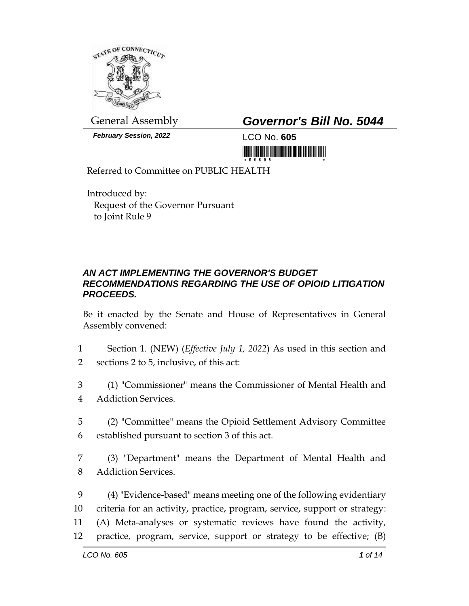

*February Session, 2022* LCO No. **605**

General Assembly *Governor's Bill No. 5044*

<u> 1999 - Andrew Maria Maria Maria Maria Maria Maria Maria Maria Maria Maria Maria Maria Maria Maria Maria Mari</u>

Referred to Committee on PUBLIC HEALTH

Introduced by: Request of the Governor Pursuant to Joint Rule 9

## *AN ACT IMPLEMENTING THE GOVERNOR'S BUDGET RECOMMENDATIONS REGARDING THE USE OF OPIOID LITIGATION PROCEEDS.*

Be it enacted by the Senate and House of Representatives in General Assembly convened:

- 1 Section 1. (NEW) (*Effective July 1, 2022*) As used in this section and 2 sections 2 to 5, inclusive, of this act:
- 3 (1) "Commissioner" means the Commissioner of Mental Health and 4 Addiction Services.
- 5 (2) "Committee" means the Opioid Settlement Advisory Committee 6 established pursuant to section 3 of this act.
- 7 (3) "Department" means the Department of Mental Health and 8 Addiction Services.
- 9 (4) "Evidence-based" means meeting one of the following evidentiary 10 criteria for an activity, practice, program, service, support or strategy: 11 (A) Meta-analyses or systematic reviews have found the activity, 12 practice, program, service, support or strategy to be effective; (B)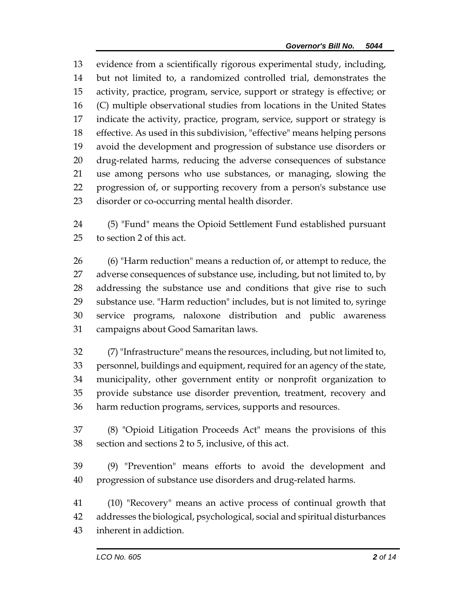evidence from a scientifically rigorous experimental study, including, but not limited to, a randomized controlled trial, demonstrates the activity, practice, program, service, support or strategy is effective; or (C) multiple observational studies from locations in the United States indicate the activity, practice, program, service, support or strategy is effective. As used in this subdivision, "effective" means helping persons avoid the development and progression of substance use disorders or drug-related harms, reducing the adverse consequences of substance use among persons who use substances, or managing, slowing the progression of, or supporting recovery from a person's substance use disorder or co-occurring mental health disorder.

 (5) "Fund" means the Opioid Settlement Fund established pursuant to section 2 of this act.

 (6) "Harm reduction" means a reduction of, or attempt to reduce, the adverse consequences of substance use, including, but not limited to, by addressing the substance use and conditions that give rise to such substance use. "Harm reduction" includes, but is not limited to, syringe service programs, naloxone distribution and public awareness campaigns about Good Samaritan laws.

 (7) "Infrastructure" means the resources, including, but not limited to, personnel, buildings and equipment, required for an agency of the state, municipality, other government entity or nonprofit organization to provide substance use disorder prevention, treatment, recovery and harm reduction programs, services, supports and resources.

 (8) "Opioid Litigation Proceeds Act" means the provisions of this section and sections 2 to 5, inclusive, of this act.

 (9) "Prevention" means efforts to avoid the development and progression of substance use disorders and drug-related harms.

 (10) "Recovery" means an active process of continual growth that addresses the biological, psychological, social and spiritual disturbances inherent in addiction.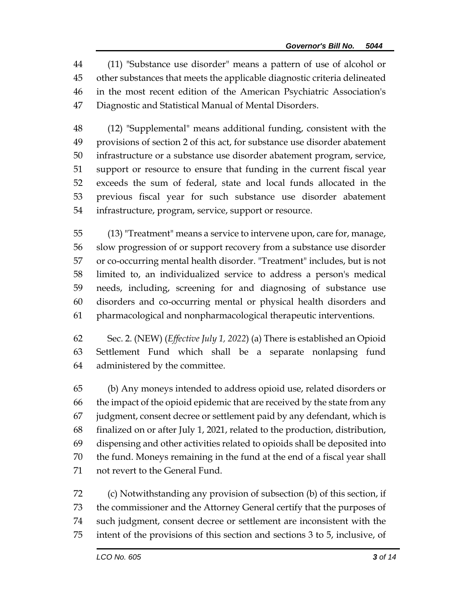(11) "Substance use disorder" means a pattern of use of alcohol or other substances that meets the applicable diagnostic criteria delineated in the most recent edition of the American Psychiatric Association's Diagnostic and Statistical Manual of Mental Disorders.

 (12) "Supplemental" means additional funding, consistent with the provisions of section 2 of this act, for substance use disorder abatement infrastructure or a substance use disorder abatement program, service, support or resource to ensure that funding in the current fiscal year exceeds the sum of federal, state and local funds allocated in the previous fiscal year for such substance use disorder abatement infrastructure, program, service, support or resource.

 (13) "Treatment" means a service to intervene upon, care for, manage, slow progression of or support recovery from a substance use disorder or co-occurring mental health disorder. "Treatment" includes, but is not limited to, an individualized service to address a person's medical needs, including, screening for and diagnosing of substance use disorders and co-occurring mental or physical health disorders and pharmacological and nonpharmacological therapeutic interventions.

 Sec. 2. (NEW) (*Effective July 1, 2022*) (a) There is established an Opioid Settlement Fund which shall be a separate nonlapsing fund administered by the committee.

 (b) Any moneys intended to address opioid use, related disorders or the impact of the opioid epidemic that are received by the state from any judgment, consent decree or settlement paid by any defendant, which is finalized on or after July 1, 2021, related to the production, distribution, dispensing and other activities related to opioids shall be deposited into the fund. Moneys remaining in the fund at the end of a fiscal year shall not revert to the General Fund.

 (c) Notwithstanding any provision of subsection (b) of this section, if the commissioner and the Attorney General certify that the purposes of such judgment, consent decree or settlement are inconsistent with the intent of the provisions of this section and sections 3 to 5, inclusive, of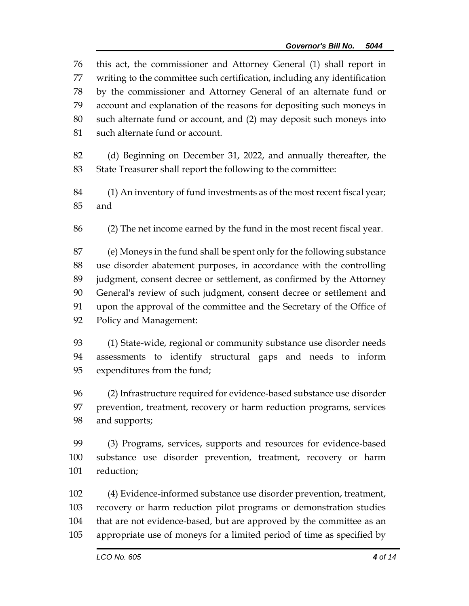this act, the commissioner and Attorney General (1) shall report in writing to the committee such certification, including any identification by the commissioner and Attorney General of an alternate fund or account and explanation of the reasons for depositing such moneys in such alternate fund or account, and (2) may deposit such moneys into such alternate fund or account. (d) Beginning on December 31, 2022, and annually thereafter, the State Treasurer shall report the following to the committee: (1) An inventory of fund investments as of the most recent fiscal year; and (2) The net income earned by the fund in the most recent fiscal year. (e) Moneys in the fund shall be spent only for the following substance use disorder abatement purposes, in accordance with the controlling judgment, consent decree or settlement, as confirmed by the Attorney General's review of such judgment, consent decree or settlement and upon the approval of the committee and the Secretary of the Office of Policy and Management: (1) State-wide, regional or community substance use disorder needs assessments to identify structural gaps and needs to inform expenditures from the fund; (2) Infrastructure required for evidence-based substance use disorder prevention, treatment, recovery or harm reduction programs, services and supports; (3) Programs, services, supports and resources for evidence-based substance use disorder prevention, treatment, recovery or harm reduction; (4) Evidence-informed substance use disorder prevention, treatment, recovery or harm reduction pilot programs or demonstration studies that are not evidence-based, but are approved by the committee as an

appropriate use of moneys for a limited period of time as specified by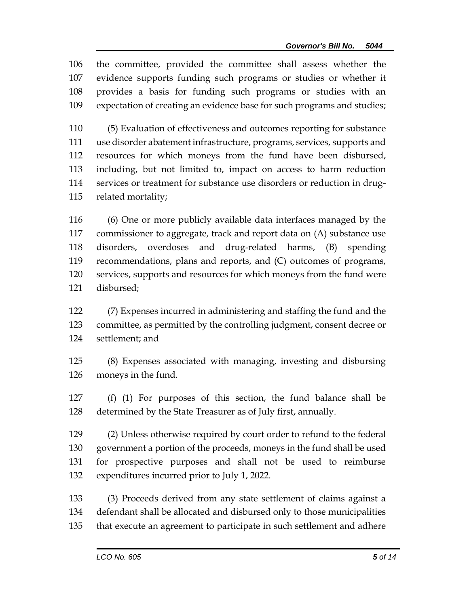the committee, provided the committee shall assess whether the evidence supports funding such programs or studies or whether it provides a basis for funding such programs or studies with an expectation of creating an evidence base for such programs and studies;

 (5) Evaluation of effectiveness and outcomes reporting for substance use disorder abatement infrastructure, programs, services, supports and resources for which moneys from the fund have been disbursed, including, but not limited to, impact on access to harm reduction services or treatment for substance use disorders or reduction in drug-related mortality;

 (6) One or more publicly available data interfaces managed by the commissioner to aggregate, track and report data on (A) substance use disorders, overdoses and drug-related harms, (B) spending recommendations, plans and reports, and (C) outcomes of programs, services, supports and resources for which moneys from the fund were disbursed;

 (7) Expenses incurred in administering and staffing the fund and the committee, as permitted by the controlling judgment, consent decree or settlement; and

 (8) Expenses associated with managing, investing and disbursing moneys in the fund.

 (f) (1) For purposes of this section, the fund balance shall be determined by the State Treasurer as of July first, annually.

 (2) Unless otherwise required by court order to refund to the federal government a portion of the proceeds, moneys in the fund shall be used for prospective purposes and shall not be used to reimburse expenditures incurred prior to July 1, 2022.

 (3) Proceeds derived from any state settlement of claims against a defendant shall be allocated and disbursed only to those municipalities that execute an agreement to participate in such settlement and adhere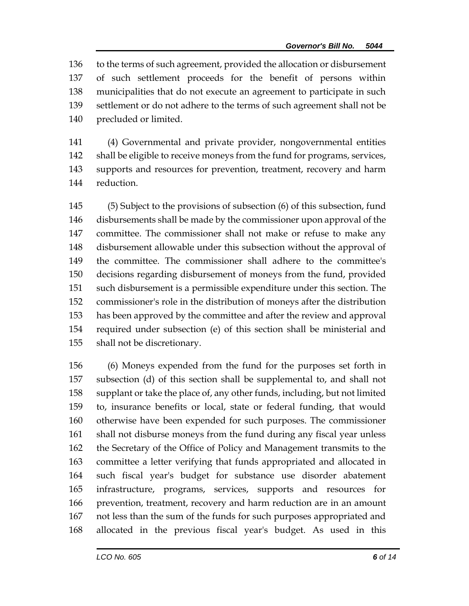to the terms of such agreement, provided the allocation or disbursement of such settlement proceeds for the benefit of persons within municipalities that do not execute an agreement to participate in such settlement or do not adhere to the terms of such agreement shall not be precluded or limited.

 (4) Governmental and private provider, nongovernmental entities shall be eligible to receive moneys from the fund for programs, services, supports and resources for prevention, treatment, recovery and harm reduction.

 (5) Subject to the provisions of subsection (6) of this subsection, fund disbursements shall be made by the commissioner upon approval of the committee. The commissioner shall not make or refuse to make any disbursement allowable under this subsection without the approval of the committee. The commissioner shall adhere to the committee's decisions regarding disbursement of moneys from the fund, provided such disbursement is a permissible expenditure under this section. The commissioner's role in the distribution of moneys after the distribution has been approved by the committee and after the review and approval required under subsection (e) of this section shall be ministerial and shall not be discretionary.

 (6) Moneys expended from the fund for the purposes set forth in subsection (d) of this section shall be supplemental to, and shall not supplant or take the place of, any other funds, including, but not limited to, insurance benefits or local, state or federal funding, that would otherwise have been expended for such purposes. The commissioner shall not disburse moneys from the fund during any fiscal year unless the Secretary of the Office of Policy and Management transmits to the committee a letter verifying that funds appropriated and allocated in such fiscal year's budget for substance use disorder abatement infrastructure, programs, services, supports and resources for prevention, treatment, recovery and harm reduction are in an amount not less than the sum of the funds for such purposes appropriated and allocated in the previous fiscal year's budget. As used in this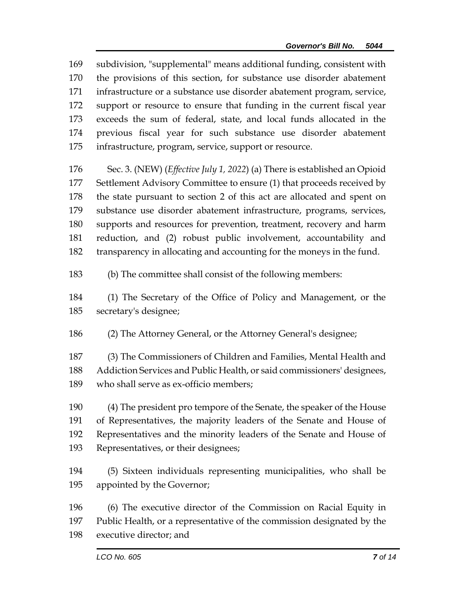subdivision, "supplemental" means additional funding, consistent with the provisions of this section, for substance use disorder abatement infrastructure or a substance use disorder abatement program, service, support or resource to ensure that funding in the current fiscal year exceeds the sum of federal, state, and local funds allocated in the previous fiscal year for such substance use disorder abatement infrastructure, program, service, support or resource.

 Sec. 3. (NEW) (*Effective July 1, 2022*) (a) There is established an Opioid Settlement Advisory Committee to ensure (1) that proceeds received by the state pursuant to section 2 of this act are allocated and spent on substance use disorder abatement infrastructure, programs, services, supports and resources for prevention, treatment, recovery and harm reduction, and (2) robust public involvement, accountability and transparency in allocating and accounting for the moneys in the fund.

(b) The committee shall consist of the following members:

 (1) The Secretary of the Office of Policy and Management, or the secretary's designee;

(2) The Attorney General, or the Attorney General's designee;

 (3) The Commissioners of Children and Families, Mental Health and Addiction Services and Public Health, or said commissioners' designees, who shall serve as ex-officio members;

 (4) The president pro tempore of the Senate, the speaker of the House of Representatives, the majority leaders of the Senate and House of Representatives and the minority leaders of the Senate and House of Representatives, or their designees;

 (5) Sixteen individuals representing municipalities, who shall be appointed by the Governor;

 (6) The executive director of the Commission on Racial Equity in Public Health, or a representative of the commission designated by the

executive director; and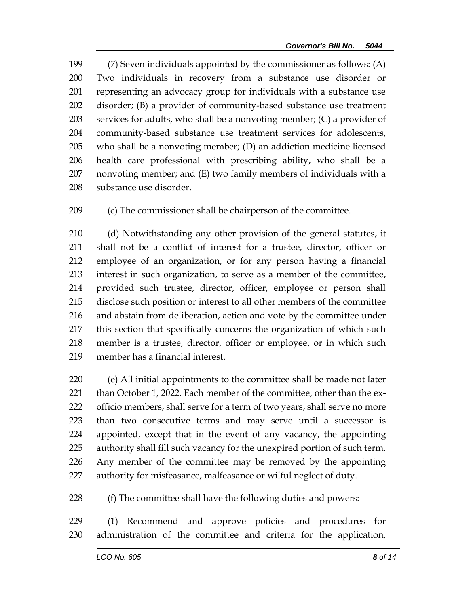(7) Seven individuals appointed by the commissioner as follows: (A) Two individuals in recovery from a substance use disorder or representing an advocacy group for individuals with a substance use disorder; (B) a provider of community-based substance use treatment services for adults, who shall be a nonvoting member; (C) a provider of community-based substance use treatment services for adolescents, who shall be a nonvoting member; (D) an addiction medicine licensed health care professional with prescribing ability, who shall be a nonvoting member; and (E) two family members of individuals with a substance use disorder.

(c) The commissioner shall be chairperson of the committee.

 (d) Notwithstanding any other provision of the general statutes, it shall not be a conflict of interest for a trustee, director, officer or employee of an organization, or for any person having a financial interest in such organization, to serve as a member of the committee, provided such trustee, director, officer, employee or person shall disclose such position or interest to all other members of the committee and abstain from deliberation, action and vote by the committee under this section that specifically concerns the organization of which such member is a trustee, director, officer or employee, or in which such member has a financial interest.

 (e) All initial appointments to the committee shall be made not later 221 than October 1, 2022. Each member of the committee, other than the ex-222 officio members, shall serve for a term of two years, shall serve no more than two consecutive terms and may serve until a successor is appointed, except that in the event of any vacancy, the appointing authority shall fill such vacancy for the unexpired portion of such term. Any member of the committee may be removed by the appointing authority for misfeasance, malfeasance or wilful neglect of duty.

(f) The committee shall have the following duties and powers:

 (1) Recommend and approve policies and procedures for administration of the committee and criteria for the application,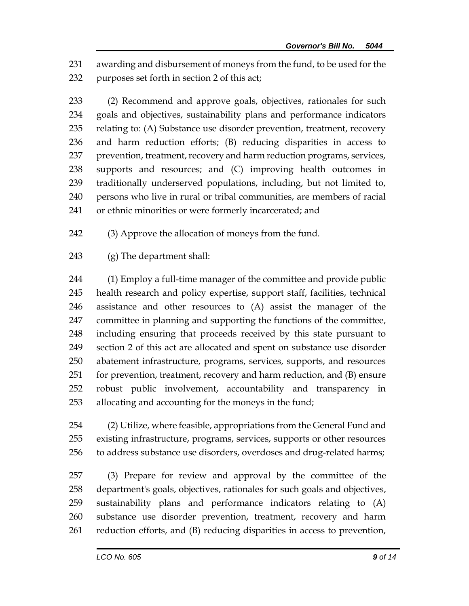awarding and disbursement of moneys from the fund, to be used for the purposes set forth in section 2 of this act;

 (2) Recommend and approve goals, objectives, rationales for such goals and objectives, sustainability plans and performance indicators relating to: (A) Substance use disorder prevention, treatment, recovery and harm reduction efforts; (B) reducing disparities in access to prevention, treatment, recovery and harm reduction programs, services, supports and resources; and (C) improving health outcomes in traditionally underserved populations, including, but not limited to, persons who live in rural or tribal communities, are members of racial or ethnic minorities or were formerly incarcerated; and

- (3) Approve the allocation of moneys from the fund.
- (g) The department shall:

 (1) Employ a full-time manager of the committee and provide public health research and policy expertise, support staff, facilities, technical assistance and other resources to (A) assist the manager of the committee in planning and supporting the functions of the committee, including ensuring that proceeds received by this state pursuant to section 2 of this act are allocated and spent on substance use disorder abatement infrastructure, programs, services, supports, and resources for prevention, treatment, recovery and harm reduction, and (B) ensure robust public involvement, accountability and transparency in allocating and accounting for the moneys in the fund;

 (2) Utilize, where feasible, appropriations from the General Fund and existing infrastructure, programs, services, supports or other resources to address substance use disorders, overdoses and drug-related harms;

 (3) Prepare for review and approval by the committee of the department's goals, objectives, rationales for such goals and objectives, sustainability plans and performance indicators relating to (A) substance use disorder prevention, treatment, recovery and harm reduction efforts, and (B) reducing disparities in access to prevention,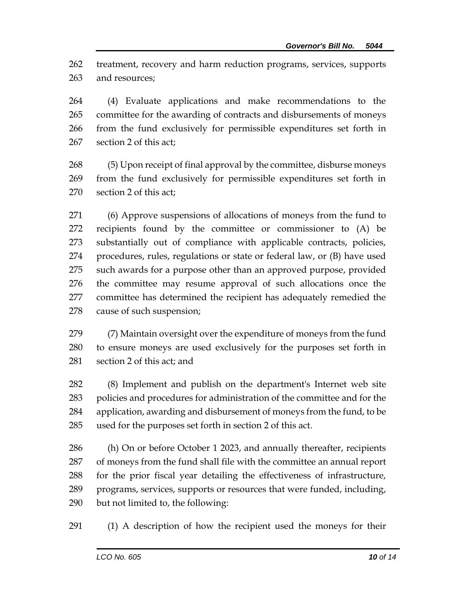treatment, recovery and harm reduction programs, services, supports and resources;

 (4) Evaluate applications and make recommendations to the committee for the awarding of contracts and disbursements of moneys from the fund exclusively for permissible expenditures set forth in section 2 of this act;

 (5) Upon receipt of final approval by the committee, disburse moneys from the fund exclusively for permissible expenditures set forth in section 2 of this act;

 (6) Approve suspensions of allocations of moneys from the fund to recipients found by the committee or commissioner to (A) be substantially out of compliance with applicable contracts, policies, procedures, rules, regulations or state or federal law, or (B) have used such awards for a purpose other than an approved purpose, provided the committee may resume approval of such allocations once the committee has determined the recipient has adequately remedied the cause of such suspension;

 (7) Maintain oversight over the expenditure of moneys from the fund to ensure moneys are used exclusively for the purposes set forth in section 2 of this act; and

 (8) Implement and publish on the department's Internet web site policies and procedures for administration of the committee and for the application, awarding and disbursement of moneys from the fund, to be used for the purposes set forth in section 2 of this act.

 (h) On or before October 1 2023, and annually thereafter, recipients of moneys from the fund shall file with the committee an annual report for the prior fiscal year detailing the effectiveness of infrastructure, programs, services, supports or resources that were funded, including, but not limited to, the following:

(1) A description of how the recipient used the moneys for their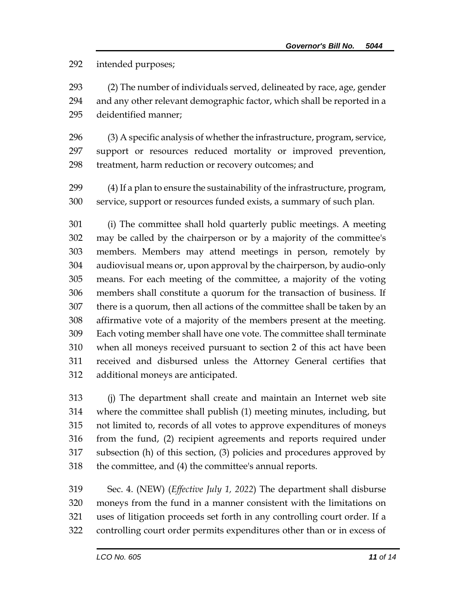intended purposes;

 (2) The number of individuals served, delineated by race, age, gender and any other relevant demographic factor, which shall be reported in a deidentified manner;

 (3) A specific analysis of whether the infrastructure, program, service, support or resources reduced mortality or improved prevention, treatment, harm reduction or recovery outcomes; and

 (4) If a plan to ensure the sustainability of the infrastructure, program, service, support or resources funded exists, a summary of such plan.

 (i) The committee shall hold quarterly public meetings. A meeting may be called by the chairperson or by a majority of the committee's members. Members may attend meetings in person, remotely by audiovisual means or, upon approval by the chairperson, by audio-only means. For each meeting of the committee, a majority of the voting members shall constitute a quorum for the transaction of business. If there is a quorum, then all actions of the committee shall be taken by an affirmative vote of a majority of the members present at the meeting. Each voting member shall have one vote. The committee shall terminate when all moneys received pursuant to section 2 of this act have been received and disbursed unless the Attorney General certifies that additional moneys are anticipated.

 (j) The department shall create and maintain an Internet web site where the committee shall publish (1) meeting minutes, including, but not limited to, records of all votes to approve expenditures of moneys from the fund, (2) recipient agreements and reports required under subsection (h) of this section, (3) policies and procedures approved by the committee, and (4) the committee's annual reports.

 Sec. 4. (NEW) (*Effective July 1, 2022*) The department shall disburse moneys from the fund in a manner consistent with the limitations on uses of litigation proceeds set forth in any controlling court order. If a controlling court order permits expenditures other than or in excess of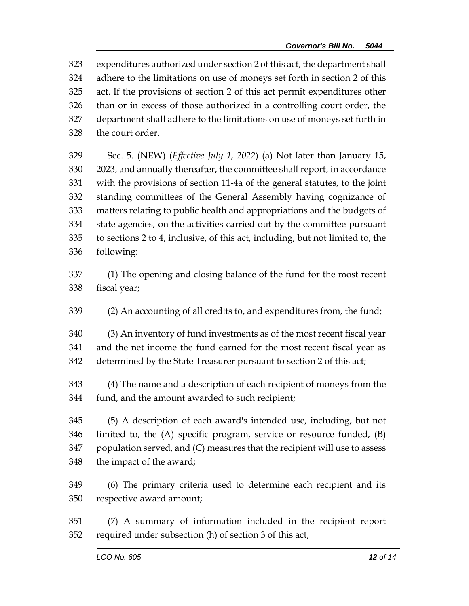expenditures authorized under section 2 of this act, the department shall adhere to the limitations on use of moneys set forth in section 2 of this act. If the provisions of section 2 of this act permit expenditures other than or in excess of those authorized in a controlling court order, the department shall adhere to the limitations on use of moneys set forth in the court order.

 Sec. 5. (NEW) (*Effective July 1, 2022*) (a) Not later than January 15, 2023, and annually thereafter, the committee shall report, in accordance with the provisions of section 11-4a of the general statutes, to the joint standing committees of the General Assembly having cognizance of matters relating to public health and appropriations and the budgets of state agencies, on the activities carried out by the committee pursuant to sections 2 to 4, inclusive, of this act, including, but not limited to, the following:

- (1) The opening and closing balance of the fund for the most recent fiscal year;
- (2) An accounting of all credits to, and expenditures from, the fund;

 (3) An inventory of fund investments as of the most recent fiscal year and the net income the fund earned for the most recent fiscal year as determined by the State Treasurer pursuant to section 2 of this act;

 (4) The name and a description of each recipient of moneys from the fund, and the amount awarded to such recipient;

 (5) A description of each award's intended use, including, but not limited to, the (A) specific program, service or resource funded, (B) population served, and (C) measures that the recipient will use to assess the impact of the award;

- (6) The primary criteria used to determine each recipient and its respective award amount;
- (7) A summary of information included in the recipient report required under subsection (h) of section 3 of this act;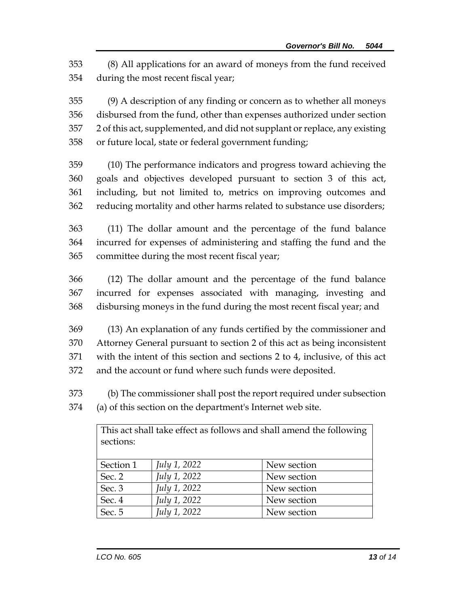(8) All applications for an award of moneys from the fund received during the most recent fiscal year;

 (9) A description of any finding or concern as to whether all moneys disbursed from the fund, other than expenses authorized under section 2 of this act, supplemented, and did not supplant or replace, any existing or future local, state or federal government funding;

 (10) The performance indicators and progress toward achieving the goals and objectives developed pursuant to section 3 of this act, including, but not limited to, metrics on improving outcomes and reducing mortality and other harms related to substance use disorders;

 (11) The dollar amount and the percentage of the fund balance incurred for expenses of administering and staffing the fund and the committee during the most recent fiscal year;

 (12) The dollar amount and the percentage of the fund balance incurred for expenses associated with managing, investing and disbursing moneys in the fund during the most recent fiscal year; and

 (13) An explanation of any funds certified by the commissioner and Attorney General pursuant to section 2 of this act as being inconsistent with the intent of this section and sections 2 to 4, inclusive, of this act and the account or fund where such funds were deposited.

 (b) The commissioner shall post the report required under subsection (a) of this section on the department's Internet web site.

| This act shall take effect as follows and shall amend the following<br>sections: |                     |             |
|----------------------------------------------------------------------------------|---------------------|-------------|
| Section 1                                                                        | <i>July 1, 2022</i> | New section |
| Sec. 2                                                                           | July 1, 2022        | New section |
| Sec. 3                                                                           | July 1, 2022        | New section |
| Sec. 4                                                                           | July 1, 2022        | New section |
| Sec. 5                                                                           | July 1, 2022        | New section |